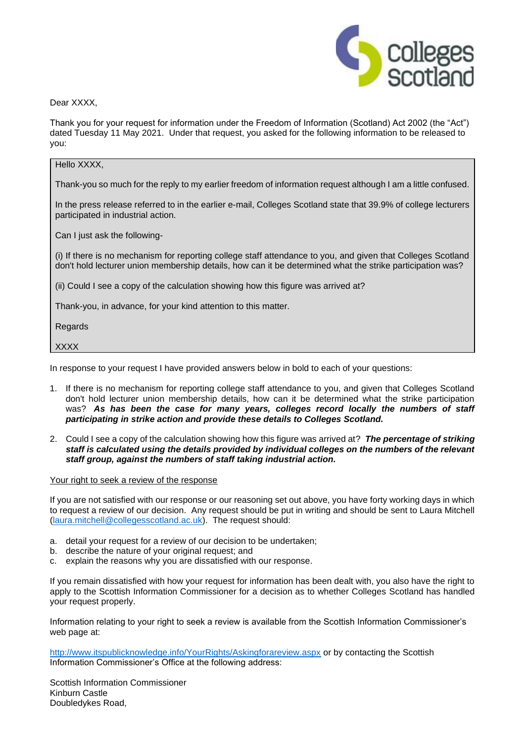

Dear XXXX.

Thank you for your request for information under the Freedom of Information (Scotland) Act 2002 (the "Act") dated Tuesday 11 May 2021. Under that request, you asked for the following information to be released to you:

## Hello XXXX. Thank-you so much for the reply to my earlier freedom of information request although I am a little confused. In the press release referred to in the earlier e-mail, Colleges Scotland state that 39.9% of college lecturers participated in industrial action. Can I just ask the following- (i) If there is no mechanism for reporting college staff attendance to you, and given that Colleges Scotland don't hold lecturer union membership details, how can it be determined what the strike participation was? (ii) Could I see a copy of the calculation showing how this figure was arrived at? Thank-you, in advance, for your kind attention to this matter. **Regards XXXX**

In response to your request I have provided answers below in bold to each of your questions:

- 1. If there is no mechanism for reporting college staff attendance to you, and given that Colleges Scotland don't hold lecturer union membership details, how can it be determined what the strike participation was? *As has been the case for many years, colleges record locally the numbers of staff participating in strike action and provide these details to Colleges Scotland.*
- 2. Could I see a copy of the calculation showing how this figure was arrived at? *The percentage of striking staff is calculated using the details provided by individual colleges on the numbers of the relevant staff group, against the numbers of staff taking industrial action.*

## Your right to seek a review of the response

If you are not satisfied with our response or our reasoning set out above, you have forty working days in which to request a review of our decision. Any request should be put in writing and should be sent to Laura Mitchell [\(laura.mitchell@collegesscotland.ac.uk\)](mailto:laura.mitchell@collegesscotland.ac.uk). The request should:

- a. detail your request for a review of our decision to be undertaken;
- b. describe the nature of your original request; and
- c. explain the reasons why you are dissatisfied with our response.

If you remain dissatisfied with how your request for information has been dealt with, you also have the right to apply to the Scottish Information Commissioner for a decision as to whether Colleges Scotland has handled your request properly.

Information relating to your right to seek a review is available from the Scottish Information Commissioner's web page at:

<http://www.itspublicknowledge.info/YourRights/Askingforareview.aspx> or by contacting the Scottish Information Commissioner's Office at the following address:

Scottish Information Commissioner Kinburn Castle Doubledykes Road,